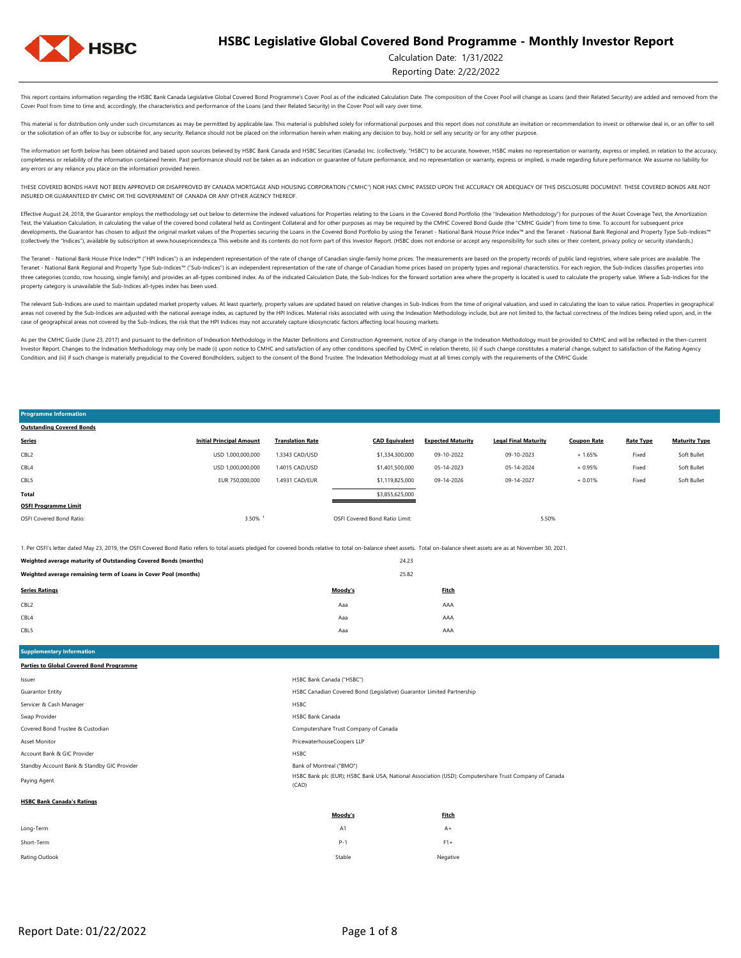

### Calculation Date: 1/31/2022

Reporting Date: 2/22/2022

This report contains information regarding the HSBC Bank Canada Legislative Global Covered Bond Programme's Cover Pool as of the indicated Calculation Date. The composition of the Cover Pool will change as Loans (and their Cover Pool from time to time and, accordingly, the characteristics and performance of the Loans (and their Related Security) in the Cover Pool will vary over time.

This material is for distribution only under such circumstances as may be permitted by applicable law. This material is published solely for informational purposes and this report does not constitute an invitation or recom or the solicitation of an offer to buy or subscribe for, any security. Reliance should not be placed on the information herein when making any decision to buy, hold or sell any security or for any other purpose.

The information set forth below has been obtained and based upon sources believed by HSBC Bank Canada and HSBC Securities (Canada) Inc. (collectively, "HSBC") to be accurate, however, HSBC makes no representation or warran completeness or reliability of the information contained herein. Past performance should not be taken as an indication or guarantee of future performance, and no representation or warranty, express or implied, is made rega any errors or any reliance you place on the information provided herein.

THESE COVERED BONDS HAVE NOT BEEN APPROVED OR DISAPPROVED BY CANADA MORTGAGE AND HOUSING CORPORATION ("CMHC") NOR HAS CMHC PASSED UPON THE ACCURACY OR ADEQUACY OF THIS DISCLOSURE DOCUMENT. THESE COVERED BONDS ARE NOT INSURED OR GUARANTEED BY CMHC OR THE GOVERNMENT OF CANADA OR ANY OTHER AGENCY THEREOF.

Effective August 24, 2018, the Guarantor employs the methodology set out below to determine the indexed valuations for Properties relating to the Loans in the Covered Bond Portfolio (the "Indexation Methodology") for purpo Test, the Valuation Calculation, in calculating the value of the covered bond collateral held as Contingent Collateral and for other purposes as may be required by the CMHC Covered Bond Guide (the "CMHC Guide") from time t developments, the Guarantor has chosen to adjust the original market values of the Properties securing the Loans in the Covered Bond Portfolio by using the Teranet - National Bank House Price Index<sup>nu</sup> and the Teranet - Na (collectively the "Indices"), available by subscription at www.housepriceindex.ca This website and its contents do not form part of this Investor Report. (HSBC does not endorse or accept any responsibility for such sites o

The Teranet - National Bank House Price Index<sup>na</sup> ("HPI Indices") is an independent representation of the rate of change of Canadian single-family home prices. The measurements are based on the property records of public l Teranet - National Bank Regional and Property Type Sub-Indices™ ("Sub-Indices") is an independent representation of the rate of change of Canadian home prices based on property types and regional characteristics. For each three categories (condo, row housing, single family) and provides an all-types combined index. As of the indicated Calculation Date, the Sub-Indices for the forward sortation area where the property is located is used to c property category is unavailable the Sub-Indices all-types index has been used.

The relevant Sub-Indices are used to maintain updated market property values. At least quarterly, property values are updated based on relative changes in Sub-Indices from the time of original valuation, and used in calcul areas not covered by the Sub-Indices are adjusted with the national average index, as captured by the HPI Indices. Material risks associated with using the Indivestion Methodology include, but are not limited to, the factu case of geographical areas not covered by the Sub-Indices, the risk that the HPI Indices may not accurately capture idiosyncratic factors affecting local housing markets.

As per the CMHC Guide (June 23, 2017) and pursuant to the definition of Indexation Methodology in the Master Definitions and Construction Agreement, notice of any change in the Indexation Methodology must be provided to CM Investor Report. Changes to the Indexation Methodology may only be made (i) upon notice to CMHC and satisfaction of any other conditions specified by CMHC in relation thereto, (ii) if such change constitutes a material cha Condition, and (iii) if such change is materially prejudicial to the Covered Bondholders, subject to the consent of the Bond Trustee. The Indexation Methodology must at all times comply with the requirements of the CMHC Gu

#### **amme Informatio**

| <b>Outstanding Covered Bonds</b> |                                 |                         |                                |                          |                             |                    |                  |                      |
|----------------------------------|---------------------------------|-------------------------|--------------------------------|--------------------------|-----------------------------|--------------------|------------------|----------------------|
| <b>Series</b>                    | <b>Initial Principal Amount</b> | <b>Translation Rate</b> | <b>CAD Equivalent</b>          | <b>Expected Maturity</b> | <b>Legal Final Maturity</b> | <b>Coupon Rate</b> | <b>Rate Type</b> | <b>Maturity Type</b> |
| CBL <sub>2</sub>                 | USD 1,000,000,000               | 1.3343 CAD/USD          | \$1,334,300,000                | 09-10-2022               | 09-10-2023                  | $+1.65%$           | Fixed            | Soft Bullet          |
| CBL4                             | USD 1,000,000,000               | 1.4015 CAD/USD          | \$1,401,500,000                | 05-14-2023               | 05-14-2024                  | $+0.95%$           | Fixed            | Soft Bullet          |
| CBL5                             | EUR 750,000,000                 | 1.4931 CAD/EUR          | \$1,119,825,000                | 09-14-2026               | 09-14-2027                  | $+0.01%$           | Fixed            | Soft Bullet          |
| <b>Total</b>                     |                                 |                         | \$3,855,625,000                |                          |                             |                    |                  |                      |
| <b>OSFI Programme Limit</b>      |                                 |                         |                                |                          |                             |                    |                  |                      |
| OSFI Covered Bond Ratio:         | 3.50%                           |                         | OSFI Covered Bond Ratio Limit: |                          | 5.50%                       |                    |                  |                      |

1. Per OSFI's letter dated May 23, 2019, the OSFI Covered Bond Ratio refers to total assets pledged for covered bonds relative to total on-balance sheet assets. Total on-balance sheet assets are as at November 30, 2021.

| 24.23<br>Weighted average maturity of Outstanding Covered Bonds (months) |         |       |  |
|--------------------------------------------------------------------------|---------|-------|--|
| 25.82<br>Weighted average remaining term of Loans in Cover Pool (months) |         |       |  |
| <b>Series Ratings</b>                                                    | Moody's | Fitch |  |
| CBL <sub>2</sub>                                                         | Aaa     | AAA   |  |
| CBL4                                                                     | Aaa     | AAA   |  |
| CBL5                                                                     | Aaa     | AAA   |  |

# **Supplementary Information**

| Parties to Global Covered Bond Programme    |                                                                                                                |              |  |  |  |
|---------------------------------------------|----------------------------------------------------------------------------------------------------------------|--------------|--|--|--|
| lssuer                                      | HSBC Bank Canada ("HSBC")                                                                                      |              |  |  |  |
| Guarantor Entity                            | HSBC Canadian Covered Bond (Legislative) Guarantor Limited Partnership                                         |              |  |  |  |
| Servicer & Cash Manager                     | HSBC                                                                                                           |              |  |  |  |
| Swap Provider                               | <b>HSBC Bank Canada</b>                                                                                        |              |  |  |  |
| Covered Bond Trustee & Custodian            | Computershare Trust Company of Canada                                                                          |              |  |  |  |
| Asset Monitor                               | PricewaterhouseCoopers LLP                                                                                     |              |  |  |  |
| Account Bank & GIC Provider                 | HSBC                                                                                                           |              |  |  |  |
| Standby Account Bank & Standby GIC Provider | Bank of Montreal ("BMO")                                                                                       |              |  |  |  |
| Paying Agent                                | HSBC Bank plc (EUR); HSBC Bank USA, National Association (USD); Computershare Trust Company of Canada<br>(CAD) |              |  |  |  |
| <b>HSBC Bank Canada's Ratings</b>           |                                                                                                                |              |  |  |  |
|                                             | Moody's                                                                                                        | <b>Fitch</b> |  |  |  |
| Long-Term                                   | A1                                                                                                             | $A+$         |  |  |  |
|                                             |                                                                                                                |              |  |  |  |

P-1

Stable

Rating Outlook

Short-Term

 $F1+$ Negative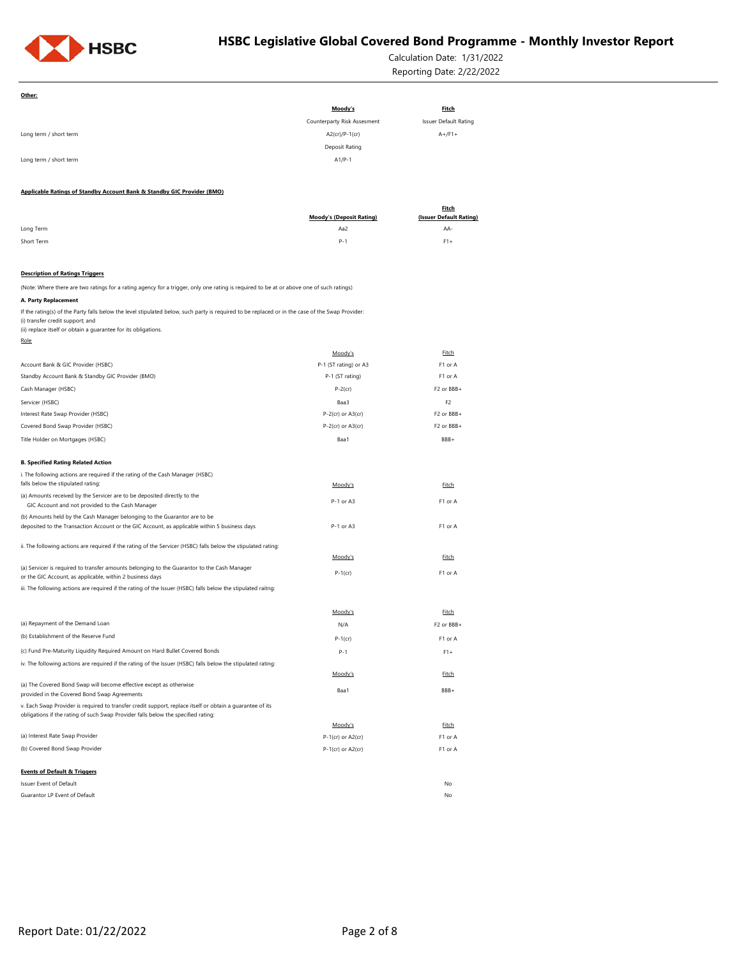

Calculation Date: 1/31/2022 Reporting Date: 2/22/2022

| Other:                                                                                                                                           |                                 |                              |
|--------------------------------------------------------------------------------------------------------------------------------------------------|---------------------------------|------------------------------|
|                                                                                                                                                  | Moody's                         | <b>Fitch</b>                 |
|                                                                                                                                                  | Counterparty Risk Assesment     | <b>Issuer Default Rating</b> |
| Long term / short term                                                                                                                           | A2(cr)/P-1(cr)                  | $A+$ /F1+                    |
|                                                                                                                                                  | Deposit Rating                  |                              |
| Long term / short term                                                                                                                           | $A1/P-1$                        |                              |
|                                                                                                                                                  |                                 |                              |
| Applicable Ratings of Standby Account Bank & Standby GIC Provider (BMO)                                                                          |                                 |                              |
|                                                                                                                                                  |                                 | <b>Fitch</b>                 |
|                                                                                                                                                  | <b>Moody's (Deposit Rating)</b> | (Issuer Default Rating)      |
| Long Term                                                                                                                                        | Aa2                             | AA-                          |
| Short Term                                                                                                                                       | $P - 1$                         | $F1+$                        |
|                                                                                                                                                  |                                 |                              |
| <b>Description of Ratings Triggers</b>                                                                                                           |                                 |                              |
| (Note: Where there are two ratings for a rating agency for a trigger, only one rating is required to be at or above one of such ratings)         |                                 |                              |
| A. Party Replacement                                                                                                                             |                                 |                              |
| If the rating(s) of the Party falls below the level stipulated below, such party is required to be replaced or in the case of the Swap Provider: |                                 |                              |
| (i) transfer credit support; and<br>(ii) replace itself or obtain a guarantee for its obligations.                                               |                                 |                              |
| Role                                                                                                                                             |                                 |                              |
|                                                                                                                                                  | Moody's                         | Fitch                        |
| Account Bank & GIC Provider (HSBC)                                                                                                               | P-1 (ST rating) or A3           | F1 or A                      |
| Standby Account Bank & Standby GIC Provider (BMO)                                                                                                | P-1 (ST rating)                 | F1 or A                      |
| Cash Manager (HSBC)                                                                                                                              | $P-2$ (cr)                      | F2 or BBB+                   |
| Servicer (HSBC)                                                                                                                                  | Baa3                            | F <sub>2</sub>               |
| Interest Rate Swap Provider (HSBC)                                                                                                               | $P-2$ (cr) or $A3$ (cr)         | F <sub>2</sub> or BBB+       |
| Covered Bond Swap Provider (HSBC)                                                                                                                | $P-2$ (cr) or $A3$ (cr)         | F2 or BBB+                   |
| Title Holder on Mortgages (HSBC)                                                                                                                 | Baa1                            | BBB+                         |
|                                                                                                                                                  |                                 |                              |
| <b>B. Specified Rating Related Action</b>                                                                                                        |                                 |                              |
| i. The following actions are required if the rating of the Cash Manager (HSBC)                                                                   |                                 |                              |
| falls below the stipulated rating:                                                                                                               | Moody's                         | <b>Fitch</b>                 |
| (a) Amounts received by the Servicer are to be deposited directly to the<br>GIC Account and not provided to the Cash Manager                     | P-1 or A3                       | F1 or A                      |
| (b) Amounts held by the Cash Manager belonging to the Guarantor are to be                                                                        |                                 |                              |
| deposited to the Transaction Account or the GIC Account, as applicable within 5 business days                                                    | P-1 or A3                       | F1 or A                      |
| ii. The following actions are required if the rating of the Servicer (HSBC) falls below the stipulated rating:                                   |                                 |                              |
|                                                                                                                                                  | Moody's                         | Fitch                        |
| (a) Servicer is required to transfer amounts belonging to the Guarantor to the Cash Manager                                                      |                                 |                              |
| or the GIC Account, as applicable, within 2 business days                                                                                        | $P-1$ (cr)                      | F1 or A                      |
| iii. The following actions are required if the rating of the Issuer (HSBC) falls below the stipulated raitng:                                    |                                 |                              |
|                                                                                                                                                  |                                 | Fitch                        |
| (a) Repayment of the Demand Loan                                                                                                                 | Moody's<br>N/A                  | F2 or BBB+                   |
| (b) Establishment of the Reserve Fund                                                                                                            |                                 |                              |
|                                                                                                                                                  | $P-1$ (cr)                      | F1 or A                      |
| (c) Fund Pre-Maturity Liquidity Required Amount on Hard Bullet Covered Bonds                                                                     | P-1                             | $F1+$                        |
| iv. The following actions are required if the rating of the Issuer (HSBC) falls below the stipulated rating:                                     | Moody's                         | Fitch                        |
| (a) The Covered Bond Swap will become effective except as otherwise                                                                              |                                 |                              |
| provided in the Covered Bond Swap Agreements                                                                                                     | Baa1                            | BBB+                         |
| v. Each Swap Provider is required to transfer credit support, replace itself or obtain a guarantee of its                                        |                                 |                              |
| obligations if the rating of such Swap Provider falls below the specified rating:                                                                | Moody's                         |                              |
| (a) Interest Rate Swap Provider                                                                                                                  | P-1(cr) or A2(cr)               | Fitch<br>F1 or A             |
| (b) Covered Bond Swap Provider                                                                                                                   | $P-1$ (cr) or A2(cr)            | F1 or A                      |
|                                                                                                                                                  |                                 |                              |
| <b>Events of Default &amp; Triggers</b>                                                                                                          |                                 |                              |
| Issuer Event of Default                                                                                                                          |                                 | No                           |
| Guarantor LP Event of Default                                                                                                                    |                                 | No                           |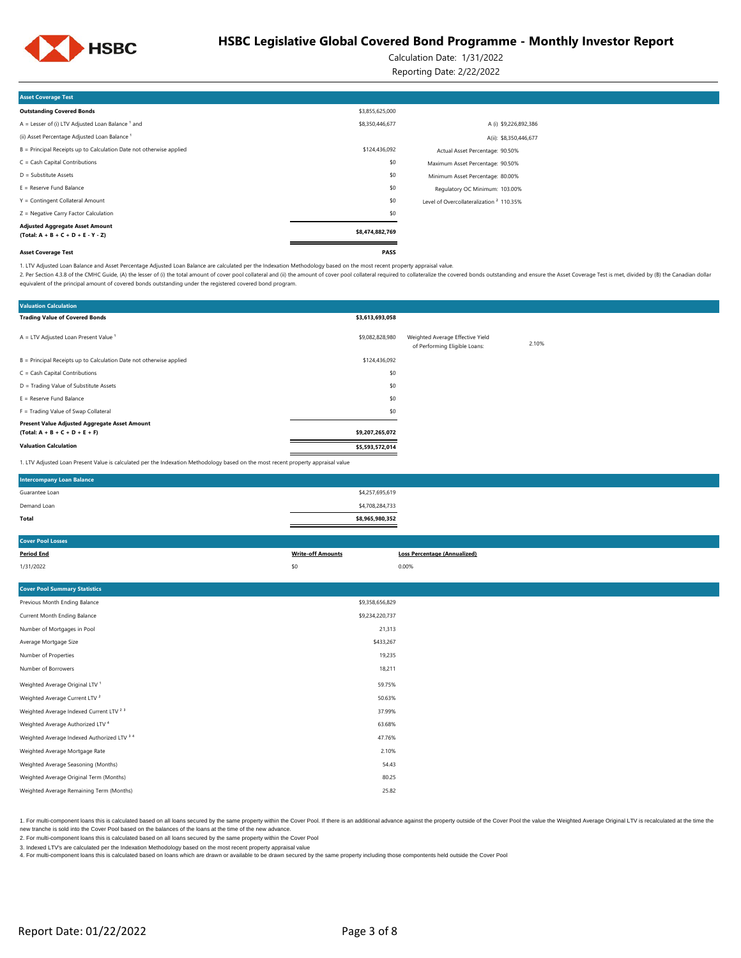

Calculation Date: 1/31/2022

Reporting Date: 2/22/2022

| <b>Asset Coverage Test</b>                                                     |                 |                                                     |  |
|--------------------------------------------------------------------------------|-----------------|-----------------------------------------------------|--|
| <b>Outstanding Covered Bonds</b>                                               | \$3,855,625,000 |                                                     |  |
| $A =$ Lesser of (i) LTV Adjusted Loan Balance $1$ and                          | \$8,350,446,677 | A (i) \$9,226,892,386                               |  |
| (ii) Asset Percentage Adjusted Loan Balance <sup>1</sup>                       |                 | A(ii): \$8,350,446,677                              |  |
| B = Principal Receipts up to Calculation Date not otherwise applied            | \$124,436,092   | Actual Asset Percentage: 90.50%                     |  |
| $C = Cash Capital Contributions$                                               | \$0             | Maximum Asset Percentage: 90.50%                    |  |
| $D =$ Substitute Assets                                                        | \$0             | Minimum Asset Percentage: 80.00%                    |  |
| $E =$ Reserve Fund Balance                                                     | \$0             | Regulatory OC Minimum: 103.00%                      |  |
| Y = Contingent Collateral Amount                                               | \$0             | Level of Overcollateralization <sup>2</sup> 110.35% |  |
| Z = Negative Carry Factor Calculation                                          | \$0             |                                                     |  |
| <b>Adjusted Aggregate Asset Amount</b><br>$(Total: A + B + C + D + E - Y - Z)$ | \$8,474,882,769 |                                                     |  |
| <b>Asset Coverage Test</b>                                                     | PASS            |                                                     |  |

1. LTV Adjusted Loan Balance and Asset Percentage Adjusted Loan Balance are calculated per the Indexation Methodology based on the most recent property appraisal value.

2. Per Section 4.3.8 of the CMHC Guide, (A) the lesser of (i) the total amount of cover pool collateral and (ii) the amount of cover pool collateral required to collateral required to collateral required to collateralize t equivalent of the principal amount of covered bonds outstanding under the registered covered bond program.

| <b>Valuation Calculation</b>                                                                                                      |                 |                                                                   |       |
|-----------------------------------------------------------------------------------------------------------------------------------|-----------------|-------------------------------------------------------------------|-------|
| <b>Trading Value of Covered Bonds</b>                                                                                             | \$3,613,693,058 |                                                                   |       |
| $A = LTV$ Adjusted Loan Present Value <sup>1</sup>                                                                                | \$9,082,828,980 | Weighted Average Effective Yield<br>of Performing Eligible Loans: | 2.10% |
| B = Principal Receipts up to Calculation Date not otherwise applied                                                               | \$124,436,092   |                                                                   |       |
| $C = Cash Capital Contributions$                                                                                                  | \$0             |                                                                   |       |
| D = Trading Value of Substitute Assets                                                                                            | \$0             |                                                                   |       |
| $E =$ Reserve Fund Balance                                                                                                        | \$0             |                                                                   |       |
| F = Trading Value of Swap Collateral                                                                                              | \$0             |                                                                   |       |
| Present Value Adjusted Aggregate Asset Amount<br>$(Total: A + B + C + D + E + F)$                                                 | \$9,207,265,072 |                                                                   |       |
| <b>Valuation Calculation</b>                                                                                                      | \$5,593,572,014 |                                                                   |       |
| 1. LTV Adjusted Loan Present Value is calculated per the Indexation Methodology based on the most recent property appraisal value |                 |                                                                   |       |

| <b>Intercompany Loan Balance</b> |                 |  |
|----------------------------------|-----------------|--|
| Guarantee Loan                   | \$4,257,695,619 |  |
| Demand Loan                      | \$4,708,284,733 |  |
| Total                            | \$8,965,980,352 |  |

| <b>Cover Pool Losses</b>                           |                          |                                     |
|----------------------------------------------------|--------------------------|-------------------------------------|
| <b>Period End</b>                                  | <b>Write-off Amounts</b> | <b>Loss Percentage (Annualized)</b> |
| 1/31/2022                                          | \$0                      | 0.00%                               |
|                                                    |                          |                                     |
| <b>Cover Pool Summary Statistics</b>               |                          |                                     |
| Previous Month Ending Balance                      | \$9,358,656,829          |                                     |
| Current Month Ending Balance                       | \$9,234,220,737          |                                     |
| Number of Mortgages in Pool                        | 21,313                   |                                     |
| Average Mortgage Size                              | \$433,267                |                                     |
| Number of Properties                               | 19,235                   |                                     |
| Number of Borrowers                                | 18,211                   |                                     |
| Weighted Average Original LTV <sup>1</sup>         | 59.75%                   |                                     |
| Weighted Average Current LTV <sup>2</sup>          | 50.63%                   |                                     |
| Weighted Average Indexed Current LTV <sup>23</sup> | 37.99%                   |                                     |
| Weighted Average Authorized LTV 4                  | 63.68%                   |                                     |
| Weighted Average Indexed Authorized LTV 3 4        | 47.76%                   |                                     |
| Weighted Average Mortgage Rate                     | 2.10%                    |                                     |
| Weighted Average Seasoning (Months)                | 54.43                    |                                     |
| Weighted Average Original Term (Months)            | 80.25                    |                                     |
| Weighted Average Remaining Term (Months)           | 25.82                    |                                     |

1. For multi-component loans this is calculated based on all loans secured by the same property within the Cover Pool. If there is an additional advance against the property outside of the Cover Pool. If we leave the Ume t new tranche is sold into the Cover Pool based on the balances of the loans at the time of the new advance.

2. For multi-component loans this is calculated based on all loans secured by the same property within the Cover Pool

3. Indexed LTV's are calculated per the Indexation Methodology based on the most recent property appraisal value

4. For multi-component loans this is calculated based on loans which are drawn or available to be drawn secured by the same property including those compontents held outside the Cover Pool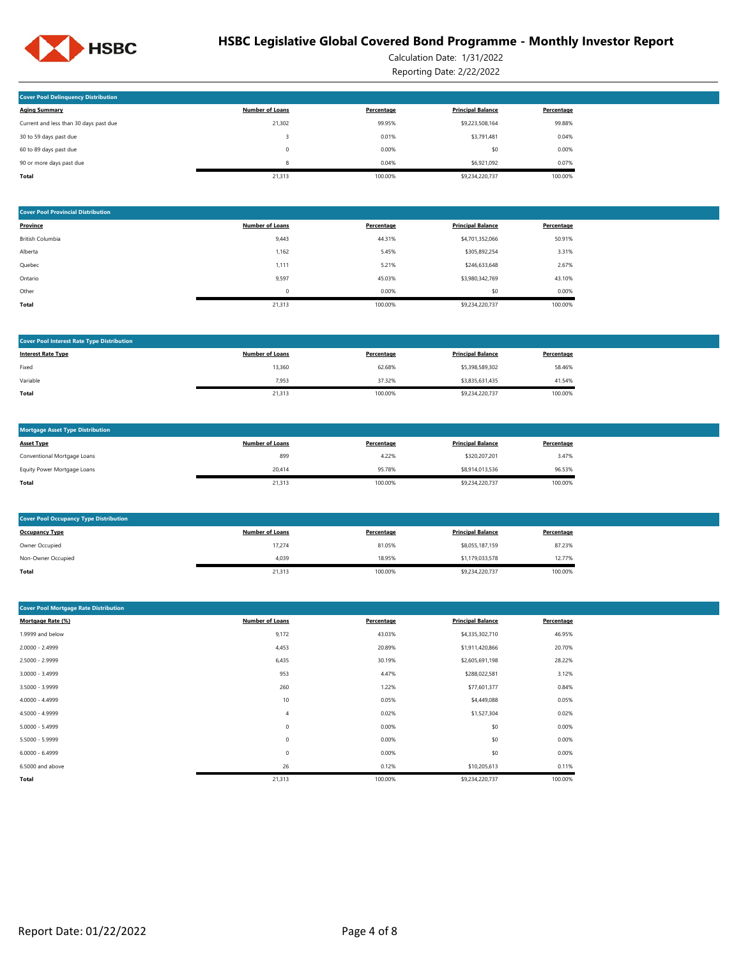

Calculation Date: 1/31/2022 Reporting Date: 2/22/2022

| <b>Cover Pool Delinquency Distribution</b> |                        |            |                          |            |  |  |  |
|--------------------------------------------|------------------------|------------|--------------------------|------------|--|--|--|
| <b>Aging Summary</b>                       | <b>Number of Loans</b> | Percentage | <b>Principal Balance</b> | Percentage |  |  |  |
| Current and less than 30 days past due     | 21,302                 | 99.95%     | \$9,223,508,164          | 99.88%     |  |  |  |
| 30 to 59 days past due                     |                        | 0.01%      | \$3,791,481              | 0.04%      |  |  |  |
| 60 to 89 days past due                     | 0                      | 0.00%      | \$0                      | 0.00%      |  |  |  |
| 90 or more days past due                   | 8                      | 0.04%      | \$6,921,092              | 0.07%      |  |  |  |
| Total                                      | 21,313                 | 100.00%    | \$9,234,220,737          | 100.00%    |  |  |  |

| <b>Cover Pool Provincial Distribution</b> |                        |            |                          |            |  |  |  |
|-------------------------------------------|------------------------|------------|--------------------------|------------|--|--|--|
| Province                                  | <b>Number of Loans</b> | Percentage | <b>Principal Balance</b> | Percentage |  |  |  |
| British Columbia                          | 9,443                  | 44.31%     | \$4,701,352,066          | 50.91%     |  |  |  |
| Alberta                                   | 1,162                  | 5.45%      | \$305,892,254            | 3.31%      |  |  |  |
| Quebec                                    | 1,111                  | 5.21%      | \$246,633,648            | 2.67%      |  |  |  |
| Ontario                                   | 9,597                  | 45.03%     | \$3,980,342,769          | 43.10%     |  |  |  |
| Other                                     | 0                      | 0.00%      | \$0                      | 0.00%      |  |  |  |
| <b>Total</b>                              | 21,313                 | 100.00%    | \$9,234,220,737          | 100.00%    |  |  |  |

| <b>Cover Pool Interest Rate Type Distribution</b> |                        |            |                          |            |
|---------------------------------------------------|------------------------|------------|--------------------------|------------|
| <b>Interest Rate Type</b>                         | <b>Number of Loans</b> | Percentage | <b>Principal Balance</b> | Percentage |
| Fixed                                             | 13,360                 | 62.68%     | \$5,398,589,302          | 58.46%     |
| Variable                                          | 7,953                  | 37.32%     | \$3,835,631,435          | 41.54%     |
| Total                                             | 21,313                 | 100.00%    | \$9,234,220,737          | 100.00%    |

| Mortgage Asset Type Distribution |                        |            |                          |            |  |  |  |
|----------------------------------|------------------------|------------|--------------------------|------------|--|--|--|
| <b>Asset Type</b>                | <b>Number of Loans</b> | Percentage | <b>Principal Balance</b> | Percentage |  |  |  |
| Conventional Mortgage Loans      | 899                    | 4.22%      | \$320,207,201            | 3.47%      |  |  |  |
| Equity Power Mortgage Loans      | 20.414                 | 95.78%     | \$8,914,013,536          | 96.53%     |  |  |  |
| Total                            | 21,313                 | 100.00%    | \$9,234,220,737          | 100.00%    |  |  |  |

| <b>Cover Pool Occupancy Type Distribution</b> |                        |            |                          |            |  |
|-----------------------------------------------|------------------------|------------|--------------------------|------------|--|
| <b>Occupancy Type</b>                         | <b>Number of Loans</b> | Percentage | <b>Principal Balance</b> | Percentage |  |
| Owner Occupied                                | 17,274                 | 81.05%     | \$8,055,187,159          | 87.23%     |  |
| Non-Owner Occupied                            | 4,039                  | 18.95%     | \$1,179,033,578          | 12.77%     |  |
| Total                                         | 21,313                 | 100.00%    | \$9,234,220,737          | 100.00%    |  |

| <b>Cover Pool Mortgage Rate Distribution</b> |                        |            |                          |            |  |  |
|----------------------------------------------|------------------------|------------|--------------------------|------------|--|--|
| Mortgage Rate (%)                            | <b>Number of Loans</b> | Percentage | <b>Principal Balance</b> | Percentage |  |  |
| 1.9999 and below                             | 9,172                  | 43.03%     | \$4,335,302,710          | 46.95%     |  |  |
| 2.0000 - 2.4999                              | 4,453                  | 20.89%     | \$1,911,420,866          | 20.70%     |  |  |
| 2.5000 - 2.9999                              | 6,435                  | 30.19%     | \$2,605,691,198          | 28.22%     |  |  |
| $3.0000 - 3.4999$                            | 953                    | 4.47%      | \$288,022,581            | 3.12%      |  |  |
| 3.5000 - 3.9999                              | 260                    | 1.22%      | \$77,601,377             | 0.84%      |  |  |
| 4.0000 - 4.4999                              | 10                     | 0.05%      | \$4,449,088              | 0.05%      |  |  |
| 4.5000 - 4.9999                              | 4                      | 0.02%      | \$1,527,304              | 0.02%      |  |  |
| $5.0000 - 5.4999$                            | 0                      | 0.00%      | \$0                      | 0.00%      |  |  |
| 5.5000 - 5.9999                              | 0                      | 0.00%      | \$0                      | 0.00%      |  |  |
| $6.0000 - 6.4999$                            | 0                      | 0.00%      | \$0                      | 0.00%      |  |  |
| 6.5000 and above                             | 26                     | 0.12%      | \$10,205,613             | 0.11%      |  |  |
| Total                                        | 21,313                 | 100.00%    | \$9,234,220,737          | 100.00%    |  |  |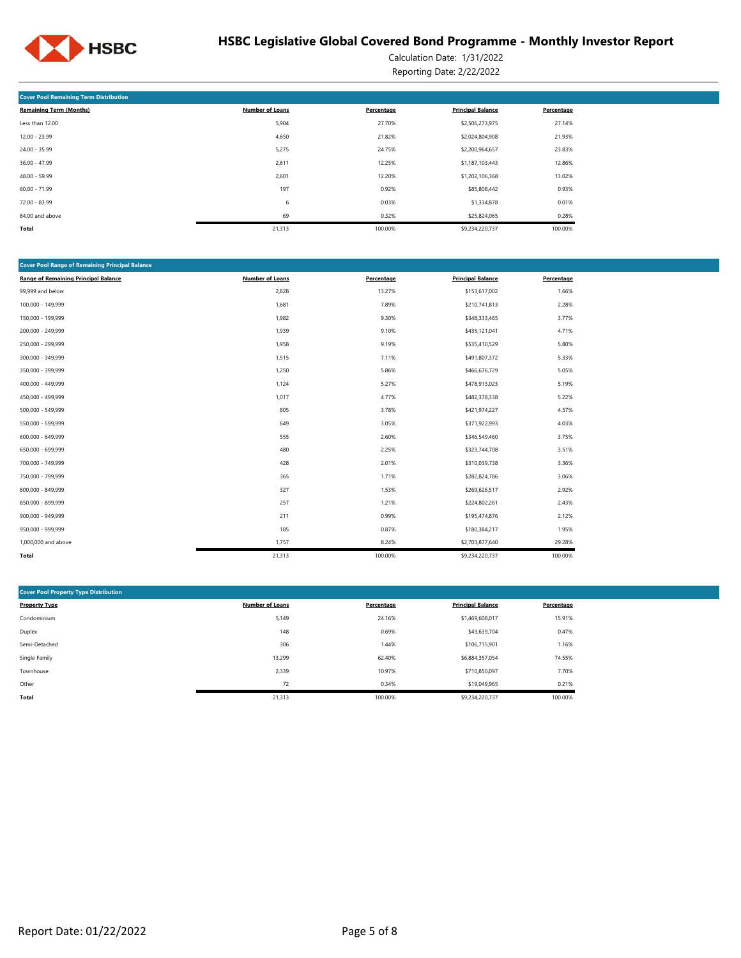

Calculation Date: 1/31/2022 Reporting Date: 2/22/2022

| <b>Cover Pool Remaining Term Distribution</b> |                        |            |                          |            |
|-----------------------------------------------|------------------------|------------|--------------------------|------------|
| <b>Remaining Term (Months)</b>                | <b>Number of Loans</b> | Percentage | <b>Principal Balance</b> | Percentage |
| Less than 12.00                               | 5,904                  | 27.70%     | \$2,506,273,975          | 27.14%     |
| 12.00 - 23.99                                 | 4,650                  | 21.82%     | \$2,024,804,908          | 21.93%     |
| 24.00 - 35.99                                 | 5,275                  | 24.75%     | \$2,200,964,657          | 23.83%     |
| $36.00 - 47.99$                               | 2,611                  | 12.25%     | \$1,187,103,443          | 12.86%     |
| $48.00 - 59.99$                               | 2,601                  | 12.20%     | \$1,202,106,368          | 13.02%     |
| $60.00 - 71.99$                               | 197                    | 0.92%      | \$85,808,442             | 0.93%      |
| 72.00 - 83.99                                 | 6                      | 0.03%      | \$1,334,878              | 0.01%      |
| 84.00 and above                               | 69                     | 0.32%      | \$25,824,065             | 0.28%      |
| Total                                         | 21,313                 | 100.00%    | \$9,234,220,737          | 100.00%    |

| <b>Cover Pool Range of Remaining Principal Balance</b> |                        |            |                          |            |
|--------------------------------------------------------|------------------------|------------|--------------------------|------------|
| <b>Range of Remaining Principal Balance</b>            | <b>Number of Loans</b> | Percentage | <b>Principal Balance</b> | Percentage |
| 99,999 and below                                       | 2,828                  | 13.27%     | \$153,617,002            | 1.66%      |
| 100,000 - 149,999                                      | 1,681                  | 7.89%      | \$210,741,813            | 2.28%      |
| 150,000 - 199,999                                      | 1,982                  | 9.30%      | \$348,333,465            | 3.77%      |
| 200,000 - 249,999                                      | 1,939                  | 9.10%      | \$435,121,041            | 4.71%      |
| 250,000 - 299,999                                      | 1,958                  | 9.19%      | \$535,410,529            | 5.80%      |
| 300,000 - 349,999                                      | 1,515                  | 7.11%      | \$491,807,372            | 5.33%      |
| 350,000 - 399,999                                      | 1,250                  | 5.86%      | \$466,676,729            | 5.05%      |
| 400,000 - 449,999                                      | 1,124                  | 5.27%      | \$478,913,023            | 5.19%      |
| 450,000 - 499,999                                      | 1,017                  | 4.77%      | \$482,378,338            | 5.22%      |
| 500,000 - 549,999                                      | 805                    | 3.78%      | \$421,974,227            | 4.57%      |
| 550,000 - 599,999                                      | 649                    | 3.05%      | \$371,922,993            | 4.03%      |
| 600,000 - 649,999                                      | 555                    | 2.60%      | \$346,549,460            | 3.75%      |
| 650,000 - 699,999                                      | 480                    | 2.25%      | \$323,744,708            | 3.51%      |
| 700,000 - 749,999                                      | 428                    | 2.01%      | \$310,039,738            | 3.36%      |
| 750,000 - 799,999                                      | 365                    | 1.71%      | \$282,824,786            | 3.06%      |
| 800,000 - 849,999                                      | 327                    | 1.53%      | \$269,626,517            | 2.92%      |
| 850,000 - 899,999                                      | 257                    | 1.21%      | \$224,802,261            | 2.43%      |
| 900,000 - 949,999                                      | 211                    | 0.99%      | \$195,474,876            | 2.12%      |
| 950,000 - 999,999                                      | 185                    | 0.87%      | \$180,384,217            | 1.95%      |
| 1,000,000 and above                                    | 1,757                  | 8.24%      | \$2,703,877,640          | 29.28%     |
| Total                                                  | 21,313                 | 100.00%    | \$9,234,220,737          | 100.00%    |

| <b>Cover Pool Property Type Distribution</b> |                        |            |                          |            |
|----------------------------------------------|------------------------|------------|--------------------------|------------|
| <b>Property Type</b>                         | <b>Number of Loans</b> | Percentage | <b>Principal Balance</b> | Percentage |
| Condominium                                  | 5,149                  | 24.16%     | \$1,469,608,017          | 15.91%     |
| Duplex                                       | 148                    | 0.69%      | \$43,639,704             | 0.47%      |
| Semi-Detached                                | 306                    | 1.44%      | \$106,715,901            | 1.16%      |
| Single Family                                | 13,299                 | 62.40%     | \$6,884,357,054          | 74.55%     |
| Townhouse                                    | 2,339                  | 10.97%     | \$710,850,097            | 7.70%      |
| Other                                        | 72                     | 0.34%      | \$19,049,965             | 0.21%      |
| <b>Total</b>                                 | 21,313                 | 100.00%    | \$9,234,220,737          | 100.00%    |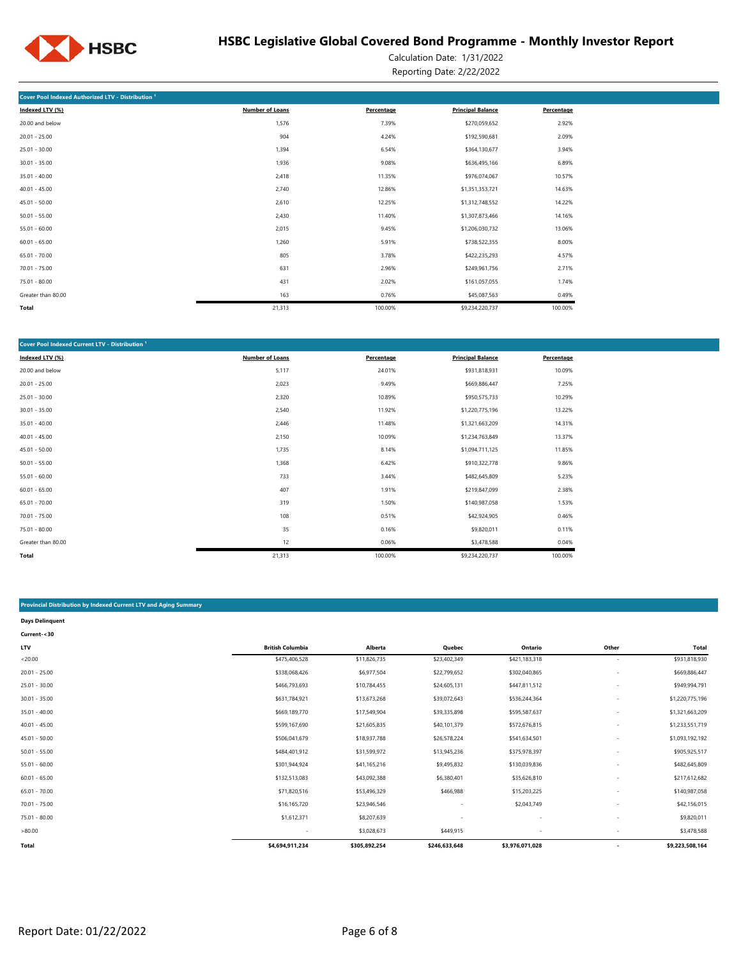

Calculation Date: 1/31/2022 Reporting Date: 2/22/2022

| Cover Pool Indexed Authorized LTV - Distribution <sup>1</sup> |                        |            |                          |            |
|---------------------------------------------------------------|------------------------|------------|--------------------------|------------|
| Indexed LTV (%)                                               | <b>Number of Loans</b> | Percentage | <b>Principal Balance</b> | Percentage |
| 20.00 and below                                               | 1,576                  | 7.39%      | \$270,059,652            | 2.92%      |
| $20.01 - 25.00$                                               | 904                    | 4.24%      | \$192,590,681            | 2.09%      |
| $25.01 - 30.00$                                               | 1,394                  | 6.54%      | \$364,130,677            | 3.94%      |
| $30.01 - 35.00$                                               | 1,936                  | 9.08%      | \$636,495,166            | 6.89%      |
| $35.01 - 40.00$                                               | 2,418                  | 11.35%     | \$976,074,067            | 10.57%     |
| $40.01 - 45.00$                                               | 2,740                  | 12.86%     | \$1,351,353,721          | 14.63%     |
| $45.01 - 50.00$                                               | 2,610                  | 12.25%     | \$1,312,748,552          | 14.22%     |
| $50.01 - 55.00$                                               | 2,430                  | 11.40%     | \$1,307,873,466          | 14.16%     |
| $55.01 - 60.00$                                               | 2,015                  | 9.45%      | \$1,206,030,732          | 13.06%     |
| $60.01 - 65.00$                                               | 1,260                  | 5.91%      | \$738,522,355            | 8.00%      |
| $65.01 - 70.00$                                               | 805                    | 3.78%      | \$422,235,293            | 4.57%      |
| $70.01 - 75.00$                                               | 631                    | 2.96%      | \$249,961,756            | 2.71%      |
| 75.01 - 80.00                                                 | 431                    | 2.02%      | \$161,057,055            | 1.74%      |
| Greater than 80.00                                            | 163                    | 0.76%      | \$45,087,563             | 0.49%      |
| Total                                                         | 21,313                 | 100.00%    | \$9,234,220,737          | 100.00%    |

| Cover Pool Indexed Current LTV - Distribution <sup>1</sup> |                        |            |                          |            |
|------------------------------------------------------------|------------------------|------------|--------------------------|------------|
| Indexed LTV (%)                                            | <b>Number of Loans</b> | Percentage | <b>Principal Balance</b> | Percentage |
| 20.00 and below                                            | 5,117                  | 24.01%     | \$931,818,931            | 10.09%     |
| $20.01 - 25.00$                                            | 2,023                  | 9.49%      | \$669,886,447            | 7.25%      |
| $25.01 - 30.00$                                            | 2,320                  | 10.89%     | \$950,575,733            | 10.29%     |
| $30.01 - 35.00$                                            | 2,540                  | 11.92%     | \$1,220,775,196          | 13.22%     |
| $35.01 - 40.00$                                            | 2,446                  | 11.48%     | \$1,321,663,209          | 14.31%     |
| $40.01 - 45.00$                                            | 2,150                  | 10.09%     | \$1,234,763,849          | 13.37%     |
| $45.01 - 50.00$                                            | 1,735                  | 8.14%      | \$1,094,711,125          | 11.85%     |
| $50.01 - 55.00$                                            | 1,368                  | 6.42%      | \$910,322,778            | 9.86%      |
| $55.01 - 60.00$                                            | 733                    | 3.44%      | \$482,645,809            | 5.23%      |
| $60.01 - 65.00$                                            | 407                    | 1.91%      | \$219,847,099            | 2.38%      |
| $65.01 - 70.00$                                            | 319                    | 1.50%      | \$140,987,058            | 1.53%      |
| $70.01 - 75.00$                                            | 108                    | 0.51%      | \$42,924,905             | 0.46%      |
| 75.01 - 80.00                                              | 35                     | 0.16%      | \$9,820,011              | 0.11%      |
| Greater than 80.00                                         | 12                     | 0.06%      | \$3,478,588              | 0.04%      |
| Total                                                      | 21,313                 | 100.00%    | \$9,234,220,737          | 100.00%    |

#### **Provincial Distribution by Indexed Current LTV and Aging Summary**

| <b>Days Delinquent</b> |                         |               |               |                          |                          |                 |
|------------------------|-------------------------|---------------|---------------|--------------------------|--------------------------|-----------------|
| Current-<30            |                         |               |               |                          |                          |                 |
| <b>LTV</b>             | <b>British Columbia</b> | Alberta       | Quebec        | Ontario                  | Other                    | Total           |
| < 20.00                | \$475,406,528           | \$11,826,735  | \$23,402,349  | \$421,183,318            | $\overline{\phantom{a}}$ | \$931,818,930   |
| $20.01 - 25.00$        | \$338,068,426           | \$6,977,504   | \$22,799,652  | \$302,040,865            | $\overline{\phantom{a}}$ | \$669,886,447   |
| $25.01 - 30.00$        | \$466,793,693           | \$10,784,455  | \$24,605,131  | \$447,811,512            | $\overline{\phantom{a}}$ | \$949,994,791   |
| $30.01 - 35.00$        | \$631,784,921           | \$13,673,268  | \$39,072,643  | \$536,244,364            |                          | \$1,220,775,196 |
| $35.01 - 40.00$        | \$669,189,770           | \$17,549,904  | \$39,335,898  | \$595,587,637            |                          | \$1,321,663,209 |
| $40.01 - 45.00$        | \$599,167,690           | \$21,605,835  | \$40,101,379  | \$572,676,815            |                          | \$1,233,551,719 |
| $45.01 - 50.00$        | \$506,041,679           | \$18,937,788  | \$26,578,224  | \$541,634,501            |                          | \$1,093,192,192 |
| $50.01 - 55.00$        | \$484,401,912           | \$31,599,972  | \$13,945,236  | \$375,978,397            | $\overline{\phantom{a}}$ | \$905,925,517   |
| $55.01 - 60.00$        | \$301,944,924           | \$41,165,216  | \$9,495,832   | \$130,039,836            |                          | \$482,645,809   |
| $60.01 - 65.00$        | \$132,513,083           | \$43,092,388  | \$6,380,401   | \$35,626,810             |                          | \$217,612,682   |
| $65.01 - 70.00$        | \$71,820,516            | \$53,496,329  | \$466,988     | \$15,203,225             |                          | \$140,987,058   |
| $70.01 - 75.00$        | \$16,165,720            | \$23,946,546  | ٠             | \$2,043,749              |                          | \$42,156,015    |
| 75.01 - 80.00          | \$1,612,371             | \$8,207,639   | ٠             | $\overline{\phantom{a}}$ |                          | \$9,820,011     |
| >80.00                 | $\sim$                  | \$3,028,673   | \$449,915     |                          |                          | \$3,478,588     |
| Total                  | \$4,694,911,234         | \$305,892,254 | \$246,633,648 | \$3,976,071,028          | $\overline{\phantom{a}}$ | \$9,223,508,164 |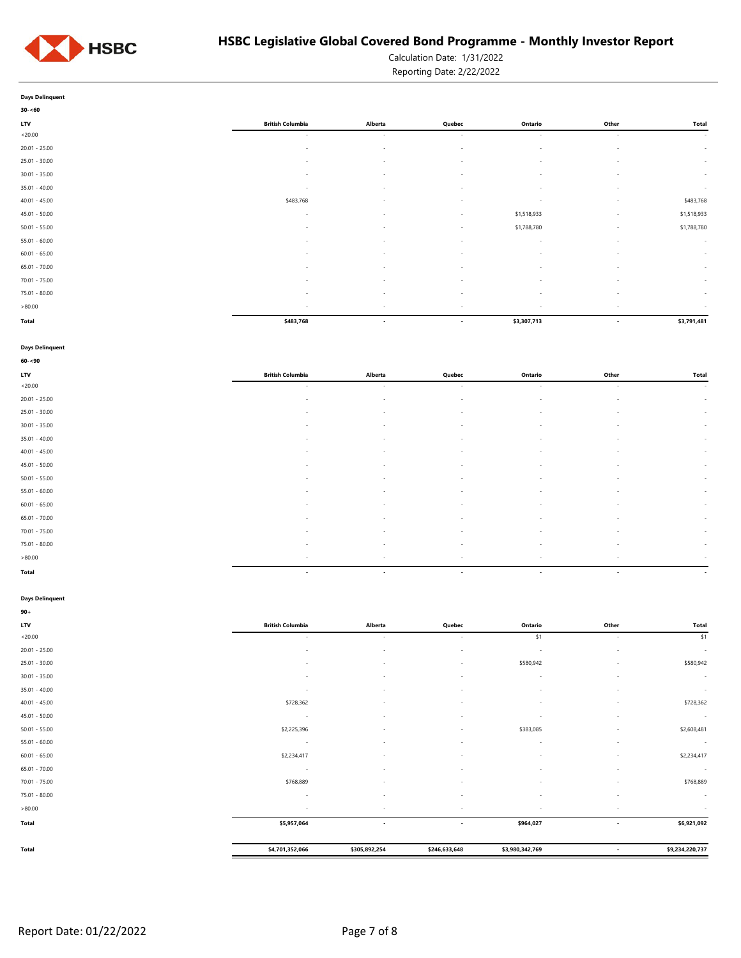

Calculation Date: 1/31/2022

Reporting Date: 2/22/2022

| <b>Days Delinguent</b> |  |
|------------------------|--|
| $30 - 60$              |  |

| <b>British Columbia</b>  | Alberta                  | Quebec                   | Ontario     | Other                    | Total                    |
|--------------------------|--------------------------|--------------------------|-------------|--------------------------|--------------------------|
| $\sim$                   | $\overline{\phantom{a}}$ | $\overline{\phantom{a}}$ | $\sim$      | $\overline{\phantom{a}}$ | $\sim$                   |
| $\sim$                   | $\sim$                   | $\sim$                   | $\sim$      | $\sim$                   | ٠                        |
| $\sim$                   | $\overline{\phantom{a}}$ | $\sim$                   | $\sim$      | $\sim$                   | ٠                        |
| $\sim$                   | $\sim$                   | $\overline{\phantom{a}}$ | $\sim$      | $\sim$                   | ٠                        |
| $\sim$                   | $\sim$                   | $\overline{\phantom{a}}$ | $\sim$      | $\sim$                   | $\overline{\phantom{a}}$ |
| \$483,768                | $\overline{\phantom{a}}$ | $\sim$                   | $\sim$      | $\sim$                   | \$483,768                |
| $\sim$                   | $\sim$                   | $\sim$                   | \$1,518,933 | $\sim$                   | \$1,518,933              |
| $\sim$                   | $\sim$                   | $\sim$                   | \$1,788,780 | $\sim$                   | \$1,788,780              |
| $\sim$                   | $\sim$                   | $\overline{\phantom{a}}$ | $\sim$      | $\sim$                   | $\overline{\phantom{a}}$ |
| $\sim$                   | $\overline{\phantom{a}}$ | $\sim$                   | $\sim$      | $\sim$                   | $\overline{\phantom{a}}$ |
| $\sim$                   | $\overline{\phantom{a}}$ | $\sim$                   | $\sim$      | $\sim$                   | ٠                        |
| $\overline{\phantom{a}}$ | $\overline{\phantom{a}}$ | $\sim$                   | $\sim$      | $\sim$                   | $\overline{\phantom{a}}$ |
| $\overline{\phantom{a}}$ | $\overline{\phantom{a}}$ | $\sim$                   | $\sim$      | $\sim$                   | $\overline{\phantom{a}}$ |
| $\sim$                   | $\sim$                   | $\overline{\phantom{a}}$ | $\sim$      | $\overline{\phantom{a}}$ | $\overline{\phantom{a}}$ |
| \$483,768                | $\overline{\phantom{a}}$ | $\overline{\phantom{a}}$ | \$3,307,713 | $\overline{\phantom{a}}$ | \$3,791,481              |
|                          |                          |                          |             |                          |                          |

#### **Days Delinquent**

| $60 - 90$       |                          |                          |        |         |                          |                |
|-----------------|--------------------------|--------------------------|--------|---------|--------------------------|----------------|
| LTV             | <b>British Columbia</b>  | Alberta                  | Quebec | Ontario | Other                    | Total          |
| < 20.00         | $\sim$                   | $\sim$                   | $\sim$ | $\sim$  | $\sim$                   | $\sim 100$     |
| $20.01 - 25.00$ | $\sim$                   | $\overline{\phantom{a}}$ | $\sim$ | ÷       | $\overline{\phantom{a}}$ | $\sim$         |
| $25.01 - 30.00$ | $\sim$                   | $\sim$                   | $\sim$ | $\sim$  | $\sim$                   | $\sim$         |
| $30.01 - 35.00$ | $\sim$                   | $\overline{\phantom{a}}$ | $\sim$ | и.      | $\overline{\phantom{a}}$ | $\sim$         |
| $35.01 - 40.00$ | $\sim$                   | $\overline{\phantom{a}}$ | $\sim$ | $\sim$  | $\sim$                   | $\sim$         |
| $40.01 - 45.00$ | $\sim$                   | $\sim$                   | $\sim$ | $\sim$  | $\sim$                   | $\sim$         |
| $45.01 - 50.00$ | $\sim$                   | $\overline{\phantom{a}}$ | $\sim$ | $\sim$  |                          | $\sim$         |
| $50.01 - 55.00$ | $\sim$                   | $\overline{\phantom{a}}$ | $\sim$ | $\sim$  | $\sim$                   | $\sim$         |
| $55.01 - 60.00$ | $\sim$                   | $\sim$                   | $\sim$ | $\sim$  | $\sim$                   | $\sim$         |
| $60.01 - 65.00$ | $\overline{a}$           | $\sim$                   | $\sim$ | $\sim$  | $\sim$                   | $\sim$         |
| $65.01 - 70.00$ | $\sim$                   | $\sim$                   | $\sim$ | $\sim$  | $\sim$                   | $\sim$         |
| $70.01 - 75.00$ | ٠                        | $\sim$                   | $\sim$ | $\sim$  |                          | $\sim$         |
| 75.01 - 80.00   | $\sim$                   | $\overline{\phantom{a}}$ | $\sim$ | $\sim$  | $\sim$                   | $\sim$         |
| >80.00          | $\sim$                   | $\sim$                   | $\sim$ | $\sim$  | $\sim$                   | <b>Section</b> |
| Total           | $\overline{\phantom{a}}$ | $\sim$                   | $\sim$ | $\sim$  | $\overline{\phantom{a}}$ | $\sim$         |

#### **Days Delinquent**

| $90 +$          |                          |                          |                          |                          |                          |                 |
|-----------------|--------------------------|--------------------------|--------------------------|--------------------------|--------------------------|-----------------|
| <b>LTV</b>      | <b>British Columbia</b>  | Alberta                  | Quebec                   | Ontario                  | Other                    | Total           |
| < 20.00         | $\sim$                   | $\sim$                   | $\sim$                   | \$1                      | $\overline{\phantom{a}}$ | \$1             |
| $20.01 - 25.00$ | $\overline{\phantom{a}}$ | $\overline{\phantom{a}}$ | $\sim$                   | $\sim$                   | $\overline{\phantom{a}}$ | $\sim$          |
| $25.01 - 30.00$ | $\overline{\phantom{a}}$ | $\overline{\phantom{a}}$ | $\overline{\phantom{0}}$ | \$580,942                | $\overline{\phantom{a}}$ | \$580,942       |
| $30.01 - 35.00$ | $\overline{\phantom{a}}$ | $\sim$                   | $\overline{\phantom{0}}$ | $\sim$                   | $\overline{\phantom{a}}$ | $\sim$          |
| $35.01 - 40.00$ | $\overline{\phantom{a}}$ | $\overline{\phantom{a}}$ | $\overline{\phantom{0}}$ | <b>.</b>                 | $\overline{\phantom{a}}$ | $\sim$          |
| $40.01 - 45.00$ | \$728,362                |                          |                          |                          | $\overline{\phantom{a}}$ | \$728,362       |
| $45.01 - 50.00$ | $\overline{\phantom{a}}$ | $\sim$                   | $\sim$                   | $\sim$                   | $\overline{\phantom{a}}$ | $\sim$          |
| $50.01 - 55.00$ | \$2,225,396              | $\sim$                   | $\sim$                   | \$383,085                | $\overline{\phantom{a}}$ | \$2,608,481     |
| $55.01 - 60.00$ | $\overline{\phantom{a}}$ | $\sim$                   | $\sim$                   | $\sim$                   | $\sim$                   | $\sim$          |
| $60.01 - 65.00$ | \$2,234,417              | $\overline{\phantom{a}}$ | $\overline{\phantom{0}}$ | $\sim$                   | $\overline{\phantom{a}}$ | \$2,234,417     |
| $65.01 - 70.00$ | $\overline{\phantom{a}}$ | $\overline{\phantom{a}}$ | $\overline{\phantom{0}}$ |                          | $\overline{\phantom{a}}$ | $\sim$          |
| 70.01 - 75.00   | \$768,889                | $\sim$                   |                          | $\overline{\phantom{a}}$ | $\overline{\phantom{a}}$ | \$768,889       |
| 75.01 - 80.00   | $\overline{\phantom{a}}$ | $\sim$                   | $\sim$                   | $\sim$                   | $\sim$                   | $\sim$          |
| >80.00          | $\overline{\phantom{a}}$ | $\overline{\phantom{a}}$ | $\overline{\phantom{a}}$ |                          | $\overline{\phantom{a}}$ | $\sim$          |
| <b>Total</b>    | \$5,957,064              | $\overline{\phantom{a}}$ | $\overline{\phantom{a}}$ | \$964,027                | $\blacksquare$           | \$6,921,092     |
|                 |                          |                          |                          |                          |                          |                 |
| <b>Total</b>    | \$4,701,352,066          | \$305,892,254            | \$246,633,648            | \$3,980,342,769          | $\overline{\phantom{a}}$ | \$9,234,220,737 |